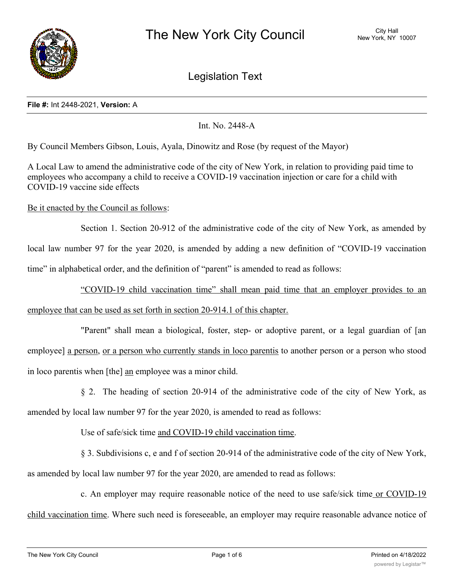

Legislation Text

#### **File #:** Int 2448-2021, **Version:** A

Int. No. 2448-A

By Council Members Gibson, Louis, Ayala, Dinowitz and Rose (by request of the Mayor)

A Local Law to amend the administrative code of the city of New York, in relation to providing paid time to employees who accompany a child to receive a COVID-19 vaccination injection or care for a child with COVID-19 vaccine side effects

Be it enacted by the Council as follows:

Section 1. Section 20-912 of the administrative code of the city of New York, as amended by local law number 97 for the year 2020, is amended by adding a new definition of "COVID-19 vaccination time" in alphabetical order, and the definition of "parent" is amended to read as follows:

"COVID-19 child vaccination time" shall mean paid time that an employer provides to an employee that can be used as set forth in section 20-914.1 of this chapter.

"Parent" shall mean a biological, foster, step- or adoptive parent, or a legal guardian of [an employee] a person, or a person who currently stands in loco parentis to another person or a person who stood in loco parentis when [the] an employee was a minor child.

§ 2. The heading of section 20-914 of the administrative code of the city of New York, as amended by local law number 97 for the year 2020, is amended to read as follows:

Use of safe/sick time and COVID-19 child vaccination time.

§ 3. Subdivisions c, e and f of section 20-914 of the administrative code of the city of New York, as amended by local law number 97 for the year 2020, are amended to read as follows:

c. An employer may require reasonable notice of the need to use safe/sick time or COVID-19 child vaccination time. Where such need is foreseeable, an employer may require reasonable advance notice of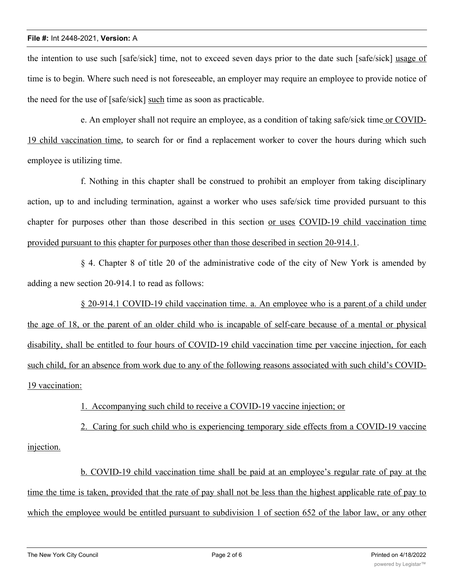the intention to use such [safe/sick] time, not to exceed seven days prior to the date such [safe/sick] usage of time is to begin. Where such need is not foreseeable, an employer may require an employee to provide notice of the need for the use of [safe/sick] such time as soon as practicable.

e. An employer shall not require an employee, as a condition of taking safe/sick time or COVID-19 child vaccination time, to search for or find a replacement worker to cover the hours during which such employee is utilizing time.

f. Nothing in this chapter shall be construed to prohibit an employer from taking disciplinary action, up to and including termination, against a worker who uses safe/sick time provided pursuant to this chapter for purposes other than those described in this section or uses COVID-19 child vaccination time provided pursuant to this chapter for purposes other than those described in section 20-914.1.

§ 4. Chapter 8 of title 20 of the administrative code of the city of New York is amended by adding a new section 20-914.1 to read as follows:

§ 20-914.1 COVID-19 child vaccination time. a. An employee who is a parent of a child under the age of 18, or the parent of an older child who is incapable of self-care because of a mental or physical disability, shall be entitled to four hours of COVID-19 child vaccination time per vaccine injection, for each such child, for an absence from work due to any of the following reasons associated with such child's COVID-19 vaccination:

1. Accompanying such child to receive a COVID-19 vaccine injection; or

2. Caring for such child who is experiencing temporary side effects from a COVID-19 vaccine injection.

b. COVID-19 child vaccination time shall be paid at an employee's regular rate of pay at the time the time is taken, provided that the rate of pay shall not be less than the highest applicable rate of pay to which the employee would be entitled pursuant to subdivision 1 of section 652 of the labor law, or any other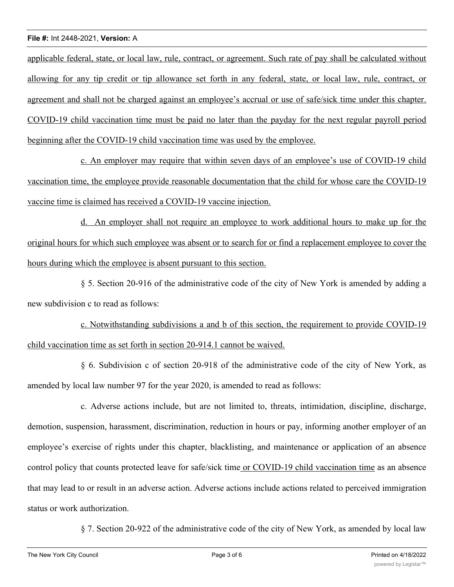applicable federal, state, or local law, rule, contract, or agreement. Such rate of pay shall be calculated without allowing for any tip credit or tip allowance set forth in any federal, state, or local law, rule, contract, or agreement and shall not be charged against an employee's accrual or use of safe/sick time under this chapter. COVID-19 child vaccination time must be paid no later than the payday for the next regular payroll period beginning after the COVID-19 child vaccination time was used by the employee.

c. An employer may require that within seven days of an employee's use of COVID-19 child vaccination time, the employee provide reasonable documentation that the child for whose care the COVID-19 vaccine time is claimed has received a COVID-19 vaccine injection.

d. An employer shall not require an employee to work additional hours to make up for the original hours for which such employee was absent or to search for or find a replacement employee to cover the hours during which the employee is absent pursuant to this section.

§ 5. Section 20-916 of the administrative code of the city of New York is amended by adding a new subdivision c to read as follows:

c. Notwithstanding subdivisions a and b of this section, the requirement to provide COVID-19 child vaccination time as set forth in section 20-914.1 cannot be waived.

§ 6. Subdivision c of section 20-918 of the administrative code of the city of New York, as amended by local law number 97 for the year 2020, is amended to read as follows:

c. Adverse actions include, but are not limited to, threats, intimidation, discipline, discharge, demotion, suspension, harassment, discrimination, reduction in hours or pay, informing another employer of an employee's exercise of rights under this chapter, blacklisting, and maintenance or application of an absence control policy that counts protected leave for safe/sick time or COVID-19 child vaccination time as an absence that may lead to or result in an adverse action. Adverse actions include actions related to perceived immigration status or work authorization.

§ 7. Section 20-922 of the administrative code of the city of New York, as amended by local law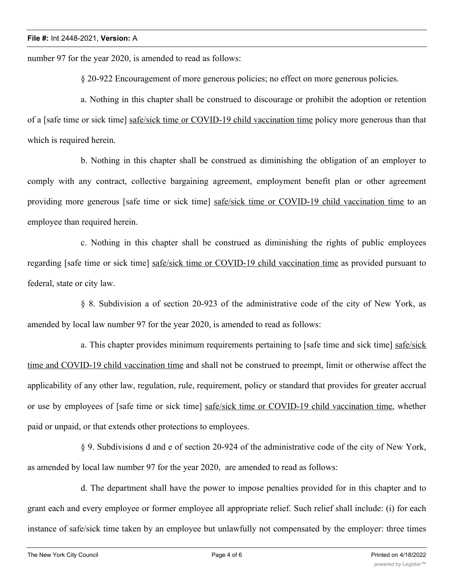number 97 for the year 2020, is amended to read as follows:

§ 20-922 Encouragement of more generous policies; no effect on more generous policies.

a. Nothing in this chapter shall be construed to discourage or prohibit the adoption or retention of a [safe time or sick time] safe/sick time or COVID-19 child vaccination time policy more generous than that which is required herein.

b. Nothing in this chapter shall be construed as diminishing the obligation of an employer to comply with any contract, collective bargaining agreement, employment benefit plan or other agreement providing more generous [safe time or sick time] safe/sick time or COVID-19 child vaccination time to an employee than required herein.

c. Nothing in this chapter shall be construed as diminishing the rights of public employees regarding [safe time or sick time] safe/sick time or COVID-19 child vaccination time as provided pursuant to federal, state or city law.

§ 8. Subdivision a of section 20-923 of the administrative code of the city of New York, as amended by local law number 97 for the year 2020, is amended to read as follows:

a. This chapter provides minimum requirements pertaining to [safe time and sick time] safe/sick time and COVID-19 child vaccination time and shall not be construed to preempt, limit or otherwise affect the applicability of any other law, regulation, rule, requirement, policy or standard that provides for greater accrual or use by employees of [safe time or sick time] safe/sick time or COVID-19 child vaccination time, whether paid or unpaid, or that extends other protections to employees.

§ 9. Subdivisions d and e of section 20-924 of the administrative code of the city of New York, as amended by local law number 97 for the year 2020, are amended to read as follows:

d. The department shall have the power to impose penalties provided for in this chapter and to grant each and every employee or former employee all appropriate relief. Such relief shall include: (i) for each instance of safe/sick time taken by an employee but unlawfully not compensated by the employer: three times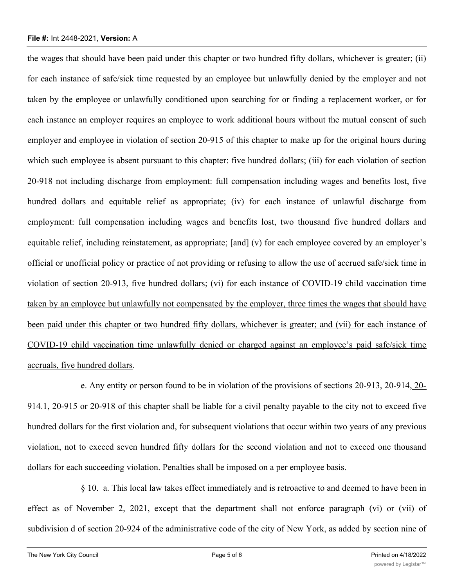the wages that should have been paid under this chapter or two hundred fifty dollars, whichever is greater; (ii) for each instance of safe/sick time requested by an employee but unlawfully denied by the employer and not taken by the employee or unlawfully conditioned upon searching for or finding a replacement worker, or for each instance an employer requires an employee to work additional hours without the mutual consent of such employer and employee in violation of section 20-915 of this chapter to make up for the original hours during which such employee is absent pursuant to this chapter: five hundred dollars; (iii) for each violation of section 20-918 not including discharge from employment: full compensation including wages and benefits lost, five hundred dollars and equitable relief as appropriate; (iv) for each instance of unlawful discharge from employment: full compensation including wages and benefits lost, two thousand five hundred dollars and equitable relief, including reinstatement, as appropriate; [and] (v) for each employee covered by an employer's official or unofficial policy or practice of not providing or refusing to allow the use of accrued safe/sick time in violation of section 20-913, five hundred dollars; (vi) for each instance of COVID-19 child vaccination time taken by an employee but unlawfully not compensated by the employer, three times the wages that should have been paid under this chapter or two hundred fifty dollars, whichever is greater; and (vii) for each instance of COVID-19 child vaccination time unlawfully denied or charged against an employee's paid safe/sick time accruals, five hundred dollars.

e. Any entity or person found to be in violation of the provisions of sections 20-913, 20-914, 20- 914.1, 20-915 or 20-918 of this chapter shall be liable for a civil penalty payable to the city not to exceed five hundred dollars for the first violation and, for subsequent violations that occur within two years of any previous violation, not to exceed seven hundred fifty dollars for the second violation and not to exceed one thousand dollars for each succeeding violation. Penalties shall be imposed on a per employee basis.

§ 10. a. This local law takes effect immediately and is retroactive to and deemed to have been in effect as of November 2, 2021, except that the department shall not enforce paragraph (vi) or (vii) of subdivision d of section 20-924 of the administrative code of the city of New York, as added by section nine of